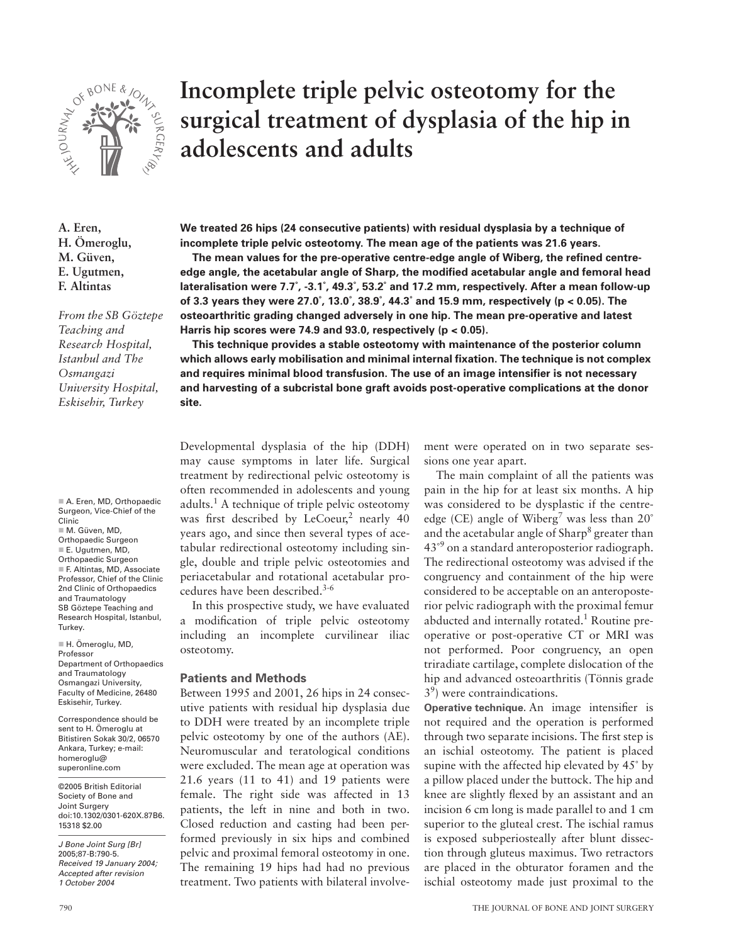

# **Incomplete triple pelvic osteotomy for the surgical treatment of dysplasia of the hip in adolescents and adults**

## **A. Eren, H. Ömeroglu, M. Güven, E. Ugutmen, F. Altintas**

*From the SB Göztepe Teaching and Research Hospital, Istanbul and The Osmangazi University Hospital, Eskisehir, Turkey*

A. Eren, MD, Orthopaedic Surgeon, Vice-Chief of the Clinic  $M$ . Güven, MD, Orthopaedic Surgeon  $\blacksquare$  E. Ugutmen, MD, Orthopaedic Surgeon ■ F. Altintas, MD, Associate Professor, Chief of the Clinic 2nd Clinic of Orthopaedics and Traumatology SB Göztepe Teaching and Research Hospital, Istanbul, Turkey.

" H. Ömeroglu, MD, Professor Department of Orthopaedics and Traumatology Osmangazi University, Faculty of Medicine, 26480 Eskisehir, Turkey.

Correspondence should be sent to H. Ömeroglu at Bitistiren Sokak 30/2, 06570 Ankara, Turkey; e-mail: homeroglu@ superonline.com

©2005 British Editorial Society of Bone and Joint Surgery doi:10.1302/0301-620X.87B6. 15318 \$2.00

*J Bone Joint Surg [Br]*  2005;87-B:790-5. *Received 19 January 2004; Accepted after revision 1 October 2004*

**We treated 26 hips (24 consecutive patients) with residual dysplasia by a technique of incomplete triple pelvic osteotomy. The mean age of the patients was 21.6 years.**

**The mean values for the pre-operative centre-edge angle of Wiberg, the refined centreedge angle, the acetabular angle of Sharp, the modified acetabular angle and femoral head lateralisation were 7.7˚, -3.1˚, 49.3˚, 53.2˚ and 17.2 mm, respectively. After a mean follow-up of 3.3 years they were 27.0˚, 13.0˚, 38.9˚, 44.3˚ and 15.9 mm, respectively (p < 0.05). The osteoarthritic grading changed adversely in one hip. The mean pre-operative and latest Harris hip scores were 74.9 and 93.0, respectively (p < 0.05).**

**This technique provides a stable osteotomy with maintenance of the posterior column which allows early mobilisation and minimal internal fixation. The technique is not complex and requires minimal blood transfusion. The use of an image intensifier is not necessary and harvesting of a subcristal bone graft avoids post-operative complications at the donor site.**

Developmental dysplasia of the hip (DDH) may cause symptoms in later life. Surgical treatment by redirectional pelvic osteotomy is often recommended in adolescents and young adults.<sup>1</sup> A technique of triple pelvic osteotomy was first described by LeCoeur,<sup>2</sup> nearly 40 years ago, and since then several types of acetabular redirectional osteotomy including single, double and triple pelvic osteotomies and periacetabular and rotational acetabular procedures have been described.3-6

In this prospective study, we have evaluated a modification of triple pelvic osteotomy including an incomplete curvilinear iliac osteotomy.

### **Patients and Methods**

Between 1995 and 2001, 26 hips in 24 consecutive patients with residual hip dysplasia due to DDH were treated by an incomplete triple pelvic osteotomy by one of the authors (AE). Neuromuscular and teratological conditions were excluded. The mean age at operation was 21.6 years (11 to 41) and 19 patients were female. The right side was affected in 13 patients, the left in nine and both in two. Closed reduction and casting had been performed previously in six hips and combined pelvic and proximal femoral osteotomy in one. The remaining 19 hips had had no previous treatment. Two patients with bilateral involvement were operated on in two separate sessions one year apart.

The main complaint of all the patients was pain in the hip for at least six months. A hip was considered to be dysplastic if the centreedge (CE) angle of Wiberg<sup>7</sup> was less than  $20^{\circ}$ and the acetabular angle of Sharp<sup>8</sup> greater than 43<sup>°9</sup> on a standard anteroposterior radiograph. The redirectional osteotomy was advised if the congruency and containment of the hip were considered to be acceptable on an anteroposterior pelvic radiograph with the proximal femur abducted and internally rotated.<sup>1</sup> Routine preoperative or post-operative CT or MRI was not performed. Poor congruency, an open triradiate cartilage, complete dislocation of the hip and advanced osteoarthritis (Tönnis grade 39 ) were contraindications.

**Operative technique.** An image intensifier is not required and the operation is performed through two separate incisions. The first step is an ischial osteotomy. The patient is placed supine with the affected hip elevated by 45˚ by a pillow placed under the buttock. The hip and knee are slightly flexed by an assistant and an incision 6 cm long is made parallel to and 1 cm superior to the gluteal crest. The ischial ramus is exposed subperiosteally after blunt dissection through gluteus maximus. Two retractors are placed in the obturator foramen and the ischial osteotomy made just proximal to the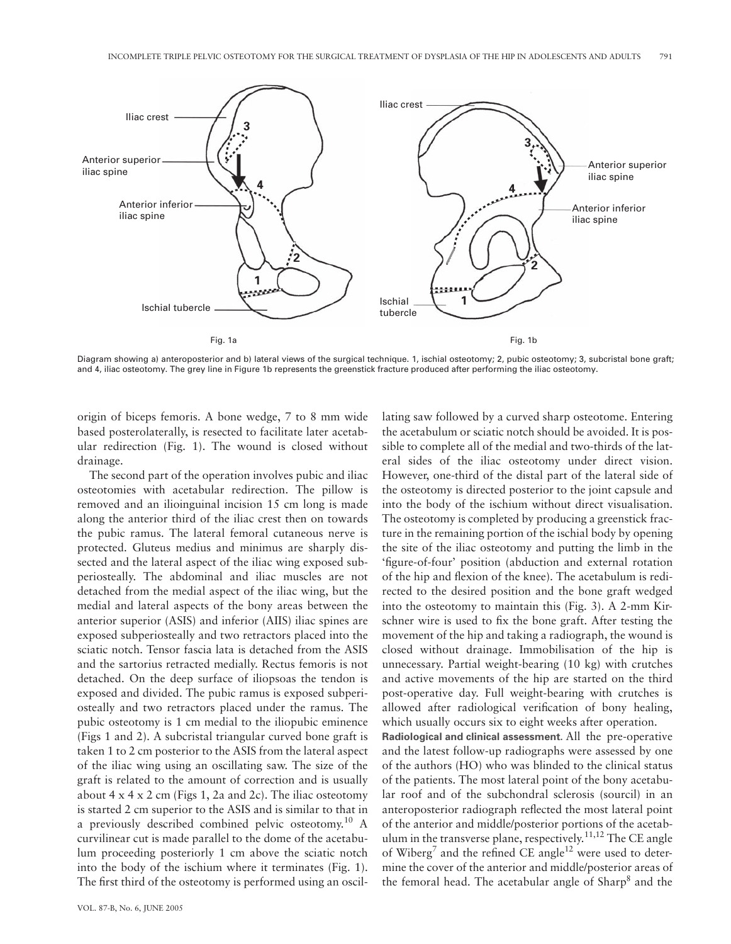

Diagram showing a) anteroposterior and b) lateral views of the surgical technique. 1, ischial osteotomy; 2, pubic osteotomy; 3, subcristal bone graft; and 4, iliac osteotomy. The grey line in Figure 1b represents the greenstick fracture produced after performing the iliac osteotomy.

origin of biceps femoris. A bone wedge, 7 to 8 mm wide based posterolaterally, is resected to facilitate later acetabular redirection (Fig. 1). The wound is closed without drainage.

The second part of the operation involves pubic and iliac osteotomies with acetabular redirection. The pillow is removed and an ilioinguinal incision 15 cm long is made along the anterior third of the iliac crest then on towards the pubic ramus. The lateral femoral cutaneous nerve is protected. Gluteus medius and minimus are sharply dissected and the lateral aspect of the iliac wing exposed subperiosteally. The abdominal and iliac muscles are not detached from the medial aspect of the iliac wing, but the medial and lateral aspects of the bony areas between the anterior superior (ASIS) and inferior (AIIS) iliac spines are exposed subperiosteally and two retractors placed into the sciatic notch. Tensor fascia lata is detached from the ASIS and the sartorius retracted medially. Rectus femoris is not detached. On the deep surface of iliopsoas the tendon is exposed and divided. The pubic ramus is exposed subperiosteally and two retractors placed under the ramus. The pubic osteotomy is 1 cm medial to the iliopubic eminence (Figs 1 and 2). A subcristal triangular curved bone graft is taken 1 to 2 cm posterior to the ASIS from the lateral aspect of the iliac wing using an oscillating saw. The size of the graft is related to the amount of correction and is usually about  $4 \times 4 \times 2$  cm (Figs 1, 2a and 2c). The iliac osteotomy is started 2 cm superior to the ASIS and is similar to that in a previously described combined pelvic osteotomy.10 A curvilinear cut is made parallel to the dome of the acetabulum proceeding posteriorly 1 cm above the sciatic notch into the body of the ischium where it terminates (Fig. 1). The first third of the osteotomy is performed using an oscillating saw followed by a curved sharp osteotome. Entering the acetabulum or sciatic notch should be avoided. It is possible to complete all of the medial and two-thirds of the lateral sides of the iliac osteotomy under direct vision. However, one-third of the distal part of the lateral side of the osteotomy is directed posterior to the joint capsule and into the body of the ischium without direct visualisation. The osteotomy is completed by producing a greenstick fracture in the remaining portion of the ischial body by opening the site of the iliac osteotomy and putting the limb in the 'figure-of-four' position (abduction and external rotation of the hip and flexion of the knee). The acetabulum is redirected to the desired position and the bone graft wedged into the osteotomy to maintain this (Fig. 3). A 2-mm Kirschner wire is used to fix the bone graft. After testing the movement of the hip and taking a radiograph, the wound is closed without drainage. Immobilisation of the hip is unnecessary. Partial weight-bearing (10 kg) with crutches and active movements of the hip are started on the third post-operative day. Full weight-bearing with crutches is allowed after radiological verification of bony healing, which usually occurs six to eight weeks after operation. **Radiological and clinical assessment.** All the pre-operative and the latest follow-up radiographs were assessed by one of the authors (HO) who was blinded to the clinical status of the patients. The most lateral point of the bony acetabular roof and of the subchondral sclerosis (sourcil) in an anteroposterior radiograph reflected the most lateral point of the anterior and middle/posterior portions of the acetab-

ulum in the transverse plane, respectively.<sup>11,12</sup> The CE angle of Wiberg<sup>7</sup> and the refined CE angle<sup>12</sup> were used to determine the cover of the anterior and middle/posterior areas of the femoral head. The acetabular angle of Sharp<sup>8</sup> and the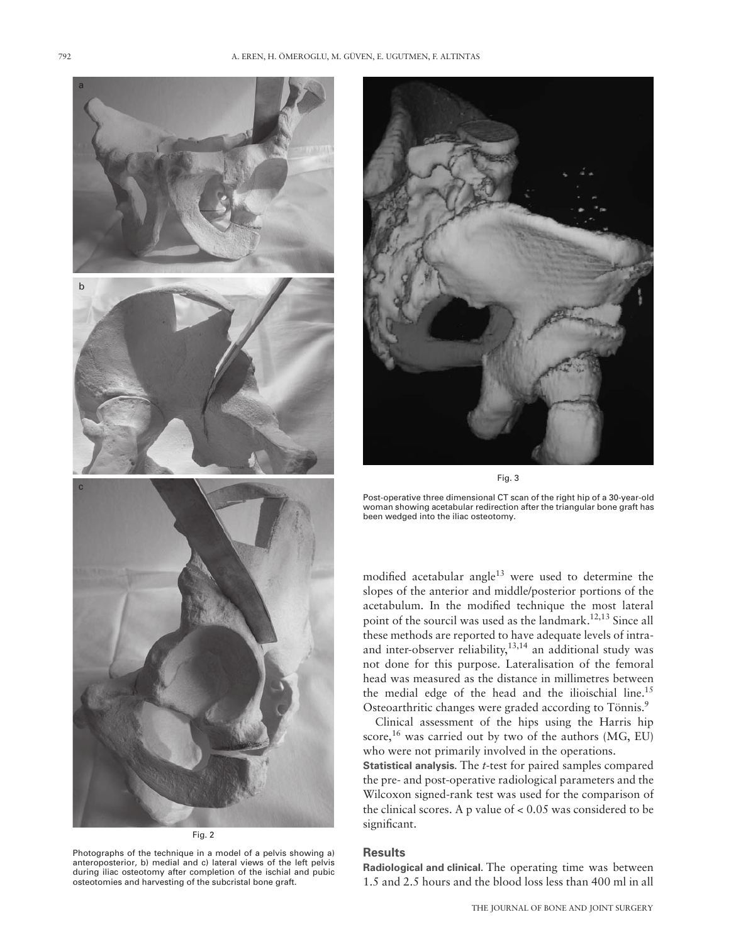

Photographs of the technique in a model of a pelvis showing a) anteroposterior, b) medial and c) lateral views of the left pelvis during iliac osteotomy after completion of the ischial and pubic osteotomies and harvesting of the subcristal bone graft.



Fig. 3

Post-operative three dimensional CT scan of the right hip of a 30-year-old woman showing acetabular redirection after the triangular bone graft has been wedged into the iliac osteotomy.

modified acetabular angle $^{13}$  were used to determine the slopes of the anterior and middle/posterior portions of the acetabulum. In the modified technique the most lateral point of the sourcil was used as the landmark.<sup>12,13</sup> Since all these methods are reported to have adequate levels of intraand inter-observer reliability,<sup>13,14</sup> an additional study was not done for this purpose. Lateralisation of the femoral head was measured as the distance in millimetres between the medial edge of the head and the ilioischial line.<sup>15</sup> Osteoarthritic changes were graded according to Tönnis.<sup>9</sup>

Clinical assessment of the hips using the Harris hip score,<sup>16</sup> was carried out by two of the authors (MG, EU) who were not primarily involved in the operations.

**Statistical analysis.** The *t*-test for paired samples compared the pre- and post-operative radiological parameters and the Wilcoxon signed-rank test was used for the comparison of the clinical scores. A p value of < 0.05 was considered to be significant.

#### **Results**

**Radiological and clinical.** The operating time was between 1.5 and 2.5 hours and the blood loss less than 400 ml in all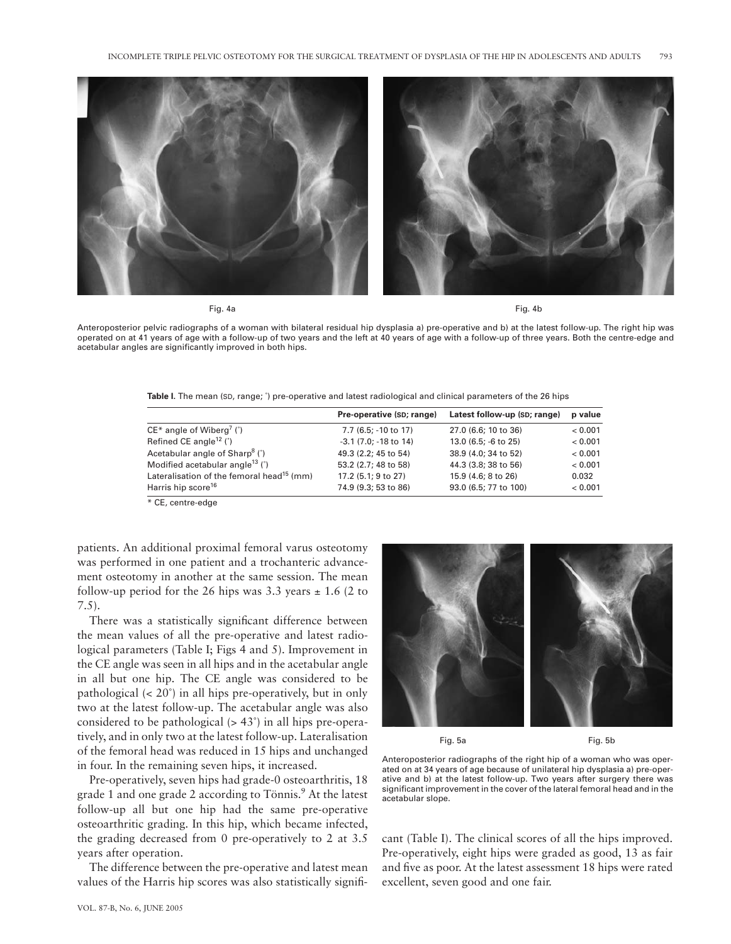

Fig. 4a

Fig. 4b

Anteroposterior pelvic radiographs of a woman with bilateral residual hip dysplasia a) pre-operative and b) at the latest follow-up. The right hip was operated on at 41 years of age with a follow-up of two years and the left at 40 years of age with a follow-up of three years. Both the centre-edge and acetabular angles are significantly improved in both hips.

**Table I.** The mean (SD, range; ˚) pre-operative and latest radiological and clinical parameters of the 26 hips

|                                                       | Pre-operative (SD; range) | Latest follow-up (SD; range) | p value |
|-------------------------------------------------------|---------------------------|------------------------------|---------|
| $CE^*$ angle of Wiberg' (°)                           | $7.7$ (6.5; -10 to 17)    | 27.0 (6.6; 10 to 36)         | < 0.001 |
| Refined CE angle <sup>12</sup> (°)                    | $-3.1$ (7.0; $-18$ to 14) | 13.0 (6.5; -6 to 25)         | < 0.001 |
| Acetabular angle of Sharp <sup>8</sup> (°)            | 49.3 (2.2; 45 to 54)      | 38.9 (4.0; 34 to 52)         | < 0.001 |
| Modified acetabular angle <sup>13</sup> (°)           | 53.2 (2.7; 48 to 58)      | 44.3 (3.8; 38 to 56)         | < 0.001 |
| Lateralisation of the femoral head <sup>15</sup> (mm) | 17.2 (5.1; 9 to 27)       | 15.9 (4.6; 8 to 26)          | 0.032   |
| Harris hip score <sup>16</sup>                        | 74.9 (9.3; 53 to 86)      | 93.0 (6.5; 77 to 100)        | < 0.001 |

\* CE, centre-edge

patients. An additional proximal femoral varus osteotomy was performed in one patient and a trochanteric advancement osteotomy in another at the same session. The mean follow-up period for the 26 hips was 3.3 years  $\pm$  1.6 (2 to 7.5).

There was a statistically significant difference between the mean values of all the pre-operative and latest radiological parameters (Table I; Figs 4 and 5). Improvement in the CE angle was seen in all hips and in the acetabular angle in all but one hip. The CE angle was considered to be pathological  $( $20^\circ$ )$  in all hips pre-operatively, but in only two at the latest follow-up. The acetabular angle was also considered to be pathological (> 43˚) in all hips pre-operatively, and in only two at the latest follow-up. Lateralisation of the femoral head was reduced in 15 hips and unchanged in four. In the remaining seven hips, it increased.

Pre-operatively, seven hips had grade-0 osteoarthritis, 18 grade 1 and one grade 2 according to Tönnis.<sup>9</sup> At the latest follow-up all but one hip had the same pre-operative osteoarthritic grading. In this hip, which became infected, the grading decreased from 0 pre-operatively to 2 at 3.5 years after operation.

The difference between the pre-operative and latest mean values of the Harris hip scores was also statistically signifi-



Fig. 5a

Fig. 5b

Anteroposterior radiographs of the right hip of a woman who was operated on at 34 years of age because of unilateral hip dysplasia a) pre-operative and b) at the latest follow-up. Two years after surgery there was significant improvement in the cover of the lateral femoral head and in the acetabular slope.

cant (Table I). The clinical scores of all the hips improved. Pre-operatively, eight hips were graded as good, 13 as fair and five as poor. At the latest assessment 18 hips were rated excellent, seven good and one fair.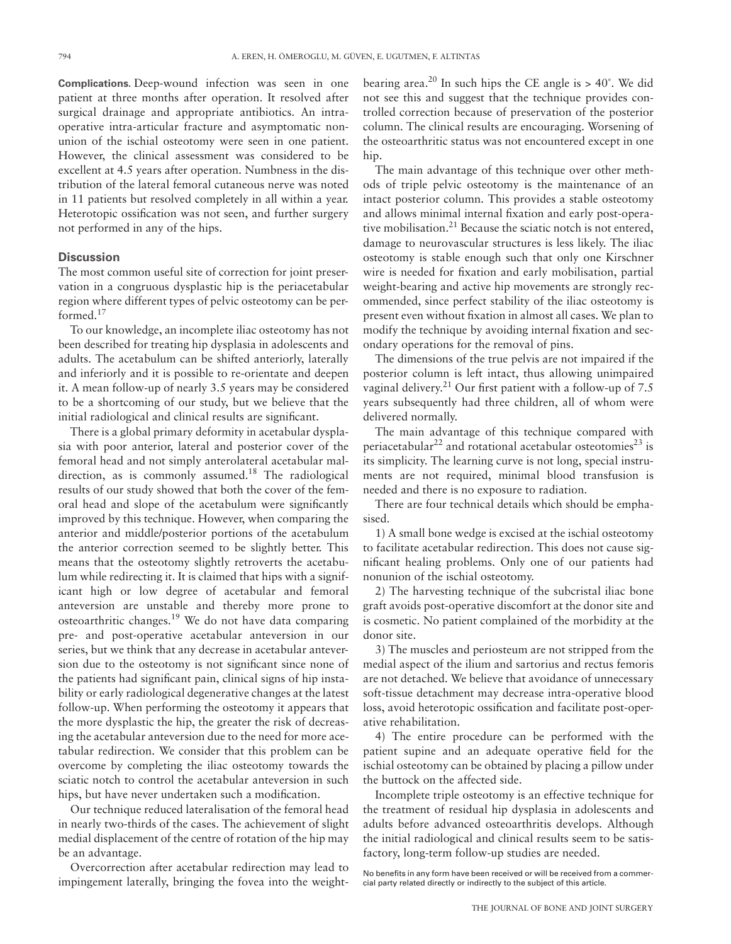**Complications.** Deep-wound infection was seen in one patient at three months after operation. It resolved after surgical drainage and appropriate antibiotics. An intraoperative intra-articular fracture and asymptomatic nonunion of the ischial osteotomy were seen in one patient. However, the clinical assessment was considered to be excellent at 4.5 years after operation. Numbness in the distribution of the lateral femoral cutaneous nerve was noted in 11 patients but resolved completely in all within a year. Heterotopic ossification was not seen, and further surgery not performed in any of the hips.

#### **Discussion**

The most common useful site of correction for joint preservation in a congruous dysplastic hip is the periacetabular region where different types of pelvic osteotomy can be performed.17

To our knowledge, an incomplete iliac osteotomy has not been described for treating hip dysplasia in adolescents and adults. The acetabulum can be shifted anteriorly, laterally and inferiorly and it is possible to re-orientate and deepen it. A mean follow-up of nearly 3.5 years may be considered to be a shortcoming of our study, but we believe that the initial radiological and clinical results are significant.

There is a global primary deformity in acetabular dysplasia with poor anterior, lateral and posterior cover of the femoral head and not simply anterolateral acetabular maldirection, as is commonly assumed.<sup>18</sup> The radiological results of our study showed that both the cover of the femoral head and slope of the acetabulum were significantly improved by this technique. However, when comparing the anterior and middle/posterior portions of the acetabulum the anterior correction seemed to be slightly better. This means that the osteotomy slightly retroverts the acetabulum while redirecting it. It is claimed that hips with a significant high or low degree of acetabular and femoral anteversion are unstable and thereby more prone to osteoarthritic changes.19 We do not have data comparing pre- and post-operative acetabular anteversion in our series, but we think that any decrease in acetabular anteversion due to the osteotomy is not significant since none of the patients had significant pain, clinical signs of hip instability or early radiological degenerative changes at the latest follow-up. When performing the osteotomy it appears that the more dysplastic the hip, the greater the risk of decreasing the acetabular anteversion due to the need for more acetabular redirection. We consider that this problem can be overcome by completing the iliac osteotomy towards the sciatic notch to control the acetabular anteversion in such hips, but have never undertaken such a modification.

Our technique reduced lateralisation of the femoral head in nearly two-thirds of the cases. The achievement of slight medial displacement of the centre of rotation of the hip may be an advantage.

Overcorrection after acetabular redirection may lead to impingement laterally, bringing the fovea into the weight-

bearing area.<sup>20</sup> In such hips the CE angle is  $> 40^{\circ}$ . We did not see this and suggest that the technique provides controlled correction because of preservation of the posterior column. The clinical results are encouraging. Worsening of the osteoarthritic status was not encountered except in one hip.

The main advantage of this technique over other methods of triple pelvic osteotomy is the maintenance of an intact posterior column. This provides a stable osteotomy and allows minimal internal fixation and early post-operative mobilisation.<sup>21</sup> Because the sciatic notch is not entered, damage to neurovascular structures is less likely. The iliac osteotomy is stable enough such that only one Kirschner wire is needed for fixation and early mobilisation, partial weight-bearing and active hip movements are strongly recommended, since perfect stability of the iliac osteotomy is present even without fixation in almost all cases. We plan to modify the technique by avoiding internal fixation and secondary operations for the removal of pins.

The dimensions of the true pelvis are not impaired if the posterior column is left intact, thus allowing unimpaired vaginal delivery.<sup>21</sup> Our first patient with a follow-up of  $7.5$ years subsequently had three children, all of whom were delivered normally.

The main advantage of this technique compared with periacetabular<sup>22</sup> and rotational acetabular osteotomies<sup>23</sup> is its simplicity. The learning curve is not long, special instruments are not required, minimal blood transfusion is needed and there is no exposure to radiation.

There are four technical details which should be emphasised.

1) A small bone wedge is excised at the ischial osteotomy to facilitate acetabular redirection. This does not cause significant healing problems. Only one of our patients had nonunion of the ischial osteotomy.

2) The harvesting technique of the subcristal iliac bone graft avoids post-operative discomfort at the donor site and is cosmetic. No patient complained of the morbidity at the donor site.

3) The muscles and periosteum are not stripped from the medial aspect of the ilium and sartorius and rectus femoris are not detached. We believe that avoidance of unnecessary soft-tissue detachment may decrease intra-operative blood loss, avoid heterotopic ossification and facilitate post-operative rehabilitation.

4) The entire procedure can be performed with the patient supine and an adequate operative field for the ischial osteotomy can be obtained by placing a pillow under the buttock on the affected side.

Incomplete triple osteotomy is an effective technique for the treatment of residual hip dysplasia in adolescents and adults before advanced osteoarthritis develops. Although the initial radiological and clinical results seem to be satisfactory, long-term follow-up studies are needed.

No benefits in any form have been received or will be received from a commercial party related directly or indirectly to the subject of this article.